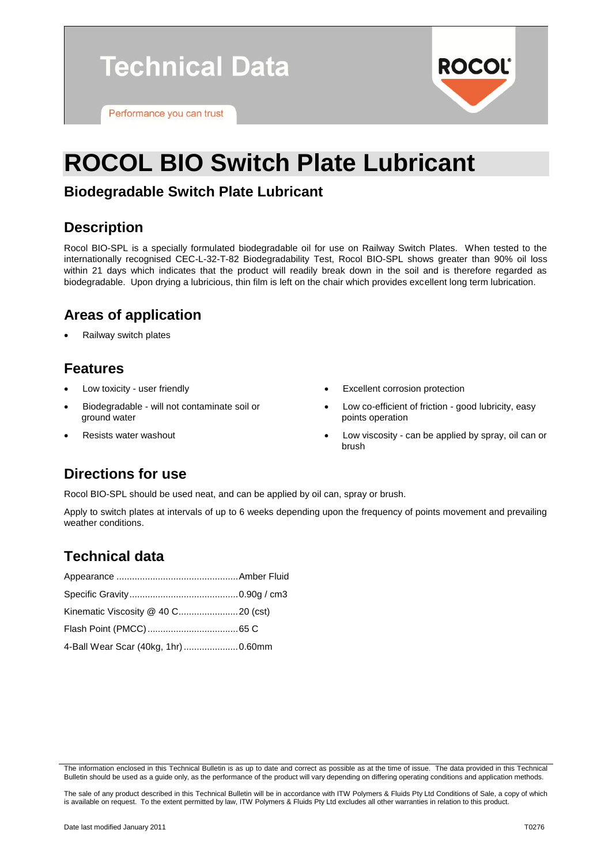**Technical Data** 

Performance you can trust

# **ROCOL BIO Switch Plate Lubricant**

#### **Biodegradable Switch Plate Lubricant**

#### **Description**

Rocol BIO-SPL is a specially formulated biodegradable oil for use on Railway Switch Plates. When tested to the internationally recognised CEC-L-32-T-82 Biodegradability Test, Rocol BIO-SPL shows greater than 90% oil loss within 21 days which indicates that the product will readily break down in the soil and is therefore regarded as biodegradable. Upon drying a lubricious, thin film is left on the chair which provides excellent long term lubrication.

## **Areas of application**

Railway switch plates

#### **Features**

- Low toxicity user friendly
- Biodegradable will not contaminate soil or ground water
- Resists water washout
- Excellent corrosion protection
- Low co-efficient of friction good lubricity, easy points operation

**ROCOL** 

 Low viscosity - can be applied by spray, oil can or brush

# **Directions for use**

Rocol BIO-SPL should be used neat, and can be applied by oil can, spray or brush.

Apply to switch plates at intervals of up to 6 weeks depending upon the frequency of points movement and prevailing weather conditions.

# **Technical data**

| 4-Ball Wear Scar (40kg, 1hr)  0.60mm |  |
|--------------------------------------|--|

The information enclosed in this Technical Bulletin is as up to date and correct as possible as at the time of issue. The data provided in this Technical Bulletin should be used as a guide only, as the performance of the product will vary depending on differing operating conditions and application methods.

The sale of any product described in this Technical Bulletin will be in accordance with ITW Polymers & Fluids Pty Ltd Conditions of Sale, a copy of which is available on request. To the extent permitted by law, ITW Polymers & Fluids Pty Ltd excludes all other warranties in relation to this product.